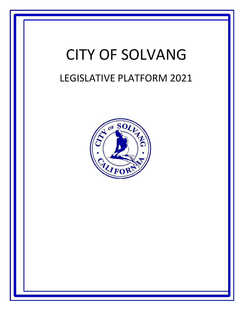# CITY OF SOLVANG LEGISLATIVE PLATFORM 2021

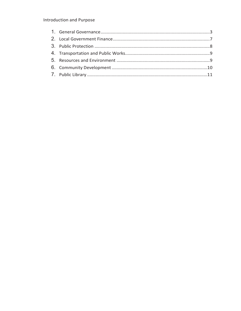# Introduction and Purpose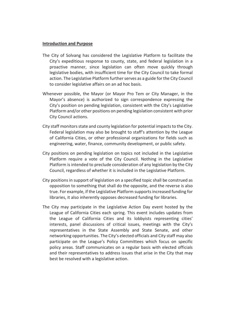#### **Introduction and Purpose**

- The City of Solvang has considered the Legislative Platform to facilitate the City's expeditious response to county, state, and federal legislation in a proactive manner, since legislation can often move quickly through legislative bodies, with insufficient time for the City Council to take formal action. The Legislative Platform further serves as a guide for the City Council to consider legislative affairs on an ad hoc basis.
- Whenever possible, the Mayor (or Mayor Pro Tem or City Manager, in the Mayor's absence) is authorized to sign correspondence expressing the City's position on pending legislation, consistent with the City's Legislative Platform and/or other positions on pending legislation consistent with prior City Council actions.
- City staff monitors state and county legislation for potential impacts to the City. Federal legislation may also be brought to staff's attention by the League of California Cities, or other professional organizations for fields such as engineering, water, finance, community development, or public safety.
- City positions on pending legislation on topics not included in the Legislative Platform require a vote of the City Council. Nothing in the Legislative Platform is intended to preclude consideration of any legislation by the City Council, regardless of whether it is included in the Legislative Platform.
- City positions in support of legislation on a specified topic shall be construed as opposition to something that shall do the opposite, and the reverse is also true. For example, if the Legislative Platform supports increased funding for libraries, it also inherently opposes decreased funding for libraries.
- The City may participate in the Legislative Action Day event hosted by the League of California Cities each spring. This event includes updates from the League of California Cities and its lobbyists representing cities' interests, panel discussions of critical issues, meetings with the City's representatives in the State Assembly and State Senate, and other networking opportunities. The City's elected officials and City staff may also participate on the League's Policy Committees which focus on specific policy areas. Staff communicates on a regular basis with elected officials and their representatives to address issues that arise in the City that may best be resolved with a legislative action.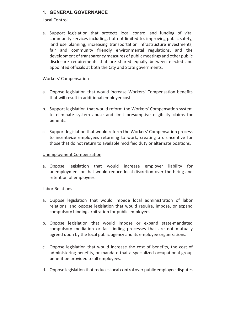## **1. GENERAL GOVERNANCE**

#### Local Control

a. Support legislation that protects local control and funding of vital community services including, but not limited to, improving public safety, land use planning, increasing transportation infrastructure investments, fair and community friendly environmental regulations, and the development of transparency measures of public meetings and other public disclosure requirements that are shared equally between elected and appointed officials at both the City and State governments.

#### Workers' Compensation

- a. Oppose legislation that would increase Workers' Compensation benefits that will result in additional employer costs.
- b. Support legislation that would reform the Workers' Compensation system to eliminate system abuse and limit presumptive eligibility claims for benefits.
- c. Support legislation that would reform the Workers' Compensation process to incentivize employees returning to work, creating a disincentive for those that do not return to available modified duty or alternate positions.

#### Unemployment Compensation

a. Oppose legislation that would increase employer liability for unemployment or that would reduce local discretion over the hiring and retention of employees.

#### Labor Relations

- a. Oppose legislation that would impede local administration of labor relations, and oppose legislation that would require, impose, or expand compulsory binding arbitration for public employees.
- b. Oppose legislation that would impose or expand state-mandated compulsory mediation or fact-finding processes that are not mutually agreed upon by the local public agency and its employee organizations.
- c. Oppose legislation that would increase the cost of benefits, the cost of administering benefits, or mandate that a specialized occupational group benefit be provided to all employees.
- d. Oppose legislation that reduces local control over public employee disputes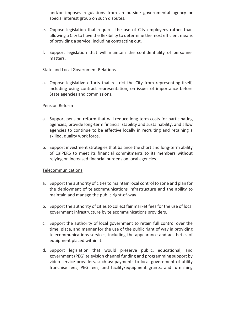and/or imposes regulations from an outside governmental agency or special interest group on such disputes.

- e. Oppose legislation that requires the use of City employees rather than allowing a City to have the flexibility to determine the most efficient means of providing a service, including contracting out.
- f. Support legislation that will maintain the confidentiality of personnel matters.

#### State and Local Government Relations

a. Oppose legislative efforts that restrict the City from representing itself, including using contract representation, on issues of importance before State agencies and commissions.

#### Pension Reform

- a. Support pension reform that will reduce long-term costs for participating agencies, provide long-term financial stability and sustainability, and allow agencies to continue to be effective locally in recruiting and retaining a skilled, quality work force.
- b. Support investment strategies that balance the short and long-term ability of CalPERS to meet its financial commitments to its members without relying on increased financial burdens on local agencies.

#### Telecommunications

- a. Support the authority of cities to maintain local control to zone and plan for the deployment of telecommunications infrastructure and the ability to maintain and manage the public right-of-way.
- b. Support the authority of cities to collect fair market fees for the use of local government infrastructure by telecommunications providers.
- c. Support the authority of local government to retain full control over the time, place, and manner for the use of the public right of way in providing telecommunications services, including the appearance and aesthetics of equipment placed within it.
- d. Support legislation that would preserve public, educational, and government (PEG) television channel funding and programming support by video service providers, such as: payments to local government of utility franchise fees, PEG fees, and facility/equipment grants; and furnishing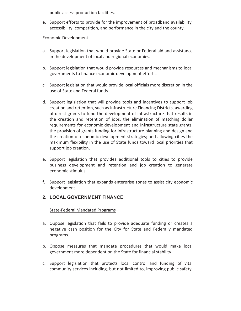public access production facilities.

e. Support efforts to provide for the improvement of broadband availability, accessibility, competition, and performance in the city and the county.

#### Economic Development

- a. Support legislation that would provide State or Federal aid and assistance in the development of local and regional economies.
- b. Support legislation that would provide resources and mechanisms to local governments to finance economic development efforts.
- c. Support legislation that would provide local officials more discretion in the use of State and Federal funds.
- d. Support legislation that will provide tools and incentives to support job creation and retention, such as Infrastructure Financing Districts, awarding of direct grants to fund the development of infrastructure that results in the creation and retention of jobs, the elimination of matching dollar requirements for economic development and infrastructure state grants; the provision of grants funding for infrastructure planning and design and the creation of economic development strategies; and allowing cities the maximum flexibility in the use of State funds toward local priorities that support job creation.
- e. Support legislation that provides additional tools to cities to provide business development and retention and job creation to generate economic stimulus.
- f. Support legislation that expands enterprise zones to assist city economic development.

## **2. LOCAL GOVERNMENT FINANCE**

#### State-Federal Mandated Programs

- a. Oppose legislation that fails to provide adequate funding or creates a negative cash position for the City for State and Federally mandated programs.
- b. Oppose measures that mandate procedures that would make local government more dependent on the State for financial stability.
- c. Support legislation that protects local control and funding of vital community services including, but not limited to, improving public safety,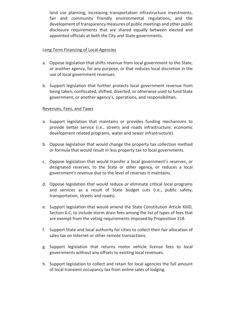land use planning, increasing transportation infrastructure investments, fair and community friendly environmental regulations, and the development of transparency measures of public meetings and other public disclosure requirements that are shared equally between elected and appointed officials at both the City and State governments.

#### Long Term Financing of Local Agencies

- a. Oppose legislation that shifts revenue from local government to the State, or another agency, for any purpose, or that reduces local discretion in the use of local government revenues.
- b. Support legislation that further protects local government revenue from being taken, confiscated, shifted, diverted, or otherwise used to fund State government, or another agency's, operations, and responsibilities.

#### Revenues, Fees, and Taxes

- a. Support legislation that maintains or provides funding mechanisms to provide better service (i.e., streets and roads infrastructure, economic development related programs, water and sewer infrastructure).
- b. Oppose legislation that would change the property tax collection method or formula that would result in less property tax to local governments.
- c. Oppose legislation that would transfer a local government's reserves, or designated reserves, to the State or other agency, or reduces a local government's revenue due to the level of reserves it maintains.
- d. Oppose legislation that would reduce or eliminate critical local programs and services as a result of State budget cuts (i.e., public safety, transportation, streets and roads).
- e. Support legislation that would amend the State Constitution Article XIIID, Section 6.C, to include storm drain fees among the list of types of fees that are exempt from the voting requirements imposed by Proposition 218.
- f. Support State and local authority for cities to collect their fair allocation of sales tax on Internet or other remote transactions.
- g. Support legislation that returns motor vehicle license fees to local governments without any offsets to existing local revenues.
- h. Support legislation to collect and retain for local agencies the full amount of local transient occupancy tax from online sales of lodging.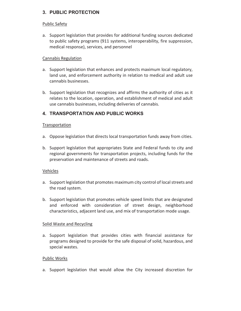# **3. PUBLIC PROTECTION**

#### Public Safety

a. Support legislation that provides for additional funding sources dedicated to public safety programs (911 systems, interoperability, fire suppression, medical response), services, and personnel

#### Cannabis Regulation

- a. Support legislation that enhances and protects maximum local regulatory, land use, and enforcement authority in relation to medical and adult use cannabis businesses.
- b. Support legislation that recognizes and affirms the authority of cities as it relates to the location, operation, and establishment of medical and adult use cannabis businesses, including deliveries of cannabis.

# **4. TRANSPORTATION AND PUBLIC WORKS**

#### **Transportation**

- a. Oppose legislation that directs local transportation funds away from cities.
- b. Support legislation that appropriates State and Federal funds to city and regional governments for transportation projects, including funds for the preservation and maintenance of streets and roads.

#### Vehicles

- a. Support legislation that promotes maximum city control of local streets and the road system.
- b. Support legislation that promotes vehicle speed limits that are designated and enforced with consideration of street design, neighborhood characteristics, adjacent land use, and mix of transportation mode usage.

#### Solid Waste and Recycling

a. Support legislation that provides cities with financial assistance for programs designed to provide for the safe disposal of solid, hazardous, and special wastes.

#### Public Works

a. Support legislation that would allow the City increased discretion for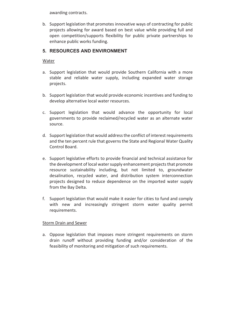awarding contracts.

b. Support legislation that promotes innovative ways of contracting for public projects allowing for award based on best value while providing full and open competition/supports flexibility for public private partnerships to enhance public works funding.

# **5. RESOURCES AND ENVIRONMENT**

### Water

- a. Support legislation that would provide Southern California with a more stable and reliable water supply, including expanded water storage projects.
- b. Support legislation that would provide economic incentives and funding to develop alternative local water resources.
- c. Support legislation that would advance the opportunity for local governments to provide reclaimed/recycled water as an alternate water source.
- d. Support legislation that would address the conflict of interest requirements and the ten percent rule that governs the State and Regional Water Quality Control Board.
- e. Support legislative efforts to provide financial and technical assistance for the development of local water supply enhancement projects that promote resource sustainability including, but not limited to, groundwater desalination, recycled water, and distribution system interconnection projects designed to reduce dependence on the imported water supply from the Bay Delta.
- f. Support legislation that would make it easier for cities to fund and comply with new and increasingly stringent storm water quality permit requirements.

## Storm Drain and Sewer

a. Oppose legislation that imposes more stringent requirements on storm drain runoff without providing funding and/or consideration of the feasibility of monitoring and mitigation of such requirements.